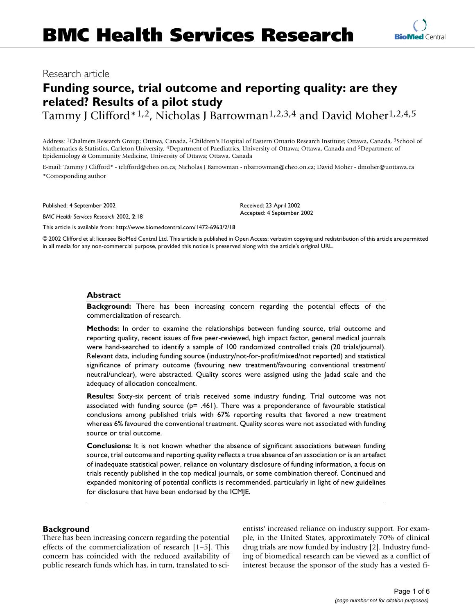## Research article

# **Funding source, trial outcome and reporting quality: are they related? Results of a pilot study**

Tammy J Clifford\*<sup>1,2</sup>, Nicholas J Barrowman<sup>1,2,3,4</sup> and David Moher<sup>1,2,4,5</sup>

Address: 1Chalmers Research Group; Ottawa, Canada, 2Children's Hospital of Eastern Ontario Research Institute; Ottawa, Canada, 3School of Mathematics & Statistics, Carleton University, 4Department of Paediatrics, University of Ottawa; Ottawa, Canada and 5Department of Epidemiology & Community Medicine, University of Ottawa; Ottawa, Canada

E-mail: Tammy J Clifford\* - tclifford@cheo.on.ca; Nicholas J Barrowman - nbarrowman@cheo.on.ca; David Moher - dmoher@uottawa.ca \*Corresponding author

Published: 4 September 2002

*BMC Health Services Research* 2002, **2**:18

Received: 23 April 2002 Accepted: 4 September 2002

[This article is available from: http://www.biomedcentral.com/1472-6963/2/18](http://www.biomedcentral.com/1472-6963/2/18)

© 2002 Clifford et al; licensee BioMed Central Ltd. This article is published in Open Access: verbatim copying and redistribution of this article are permitted in all media for any non-commercial purpose, provided this notice is preserved along with the article's original URL.

## **Abstract**

**Background:** There has been increasing concern regarding the potential effects of the commercialization of research.

**Methods:** In order to examine the relationships between funding source, trial outcome and reporting quality, recent issues of five peer-reviewed, high impact factor, general medical journals were hand-searched to identify a sample of 100 randomized controlled trials (20 trials/journal). Relevant data, including funding source (industry/not-for-profit/mixed/not reported) and statistical significance of primary outcome (favouring new treatment/favouring conventional treatment/ neutral/unclear), were abstracted. Quality scores were assigned using the Jadad scale and the adequacy of allocation concealment.

**Results:** Sixty-six percent of trials received some industry funding. Trial outcome was not associated with funding source ( $p = .461$ ). There was a preponderance of favourable statistical conclusions among published trials with 67% reporting results that favored a new treatment whereas 6% favoured the conventional treatment. Quality scores were not associated with funding source or trial outcome.

**Conclusions:** It is not known whether the absence of significant associations between funding source, trial outcome and reporting quality reflects a true absence of an association or is an artefact of inadequate statistical power, reliance on voluntary disclosure of funding information, a focus on trials recently published in the top medical journals, or some combination thereof. Continued and expanded monitoring of potential conflicts is recommended, particularly in light of new guidelines for disclosure that have been endorsed by the ICMJE.

## **Background**

There has been increasing concern regarding the potential effects of the commercialization of research [1–5]. This concern has coincided with the reduced availability of public research funds which has, in turn, translated to scientists' increased reliance on industry support. For example, in the United States, approximately 70% of clinical drug trials are now funded by industry [2]. Industry funding of biomedical research can be viewed as a conflict of interest because the sponsor of the study has a vested fi-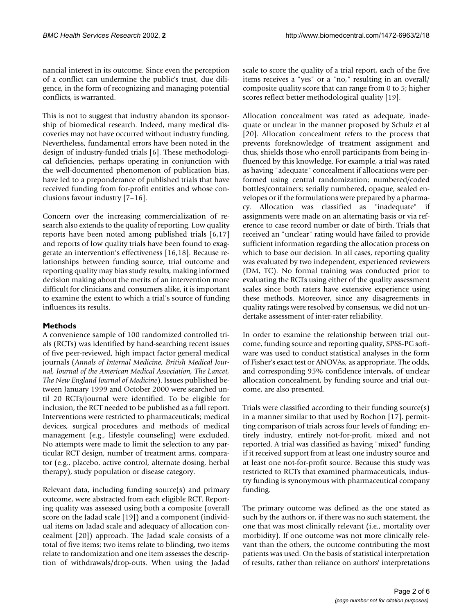nancial interest in its outcome. Since even the perception of a conflict can undermine the public's trust, due diligence, in the form of recognizing and managing potential conflicts, is warranted.

This is not to suggest that industry abandon its sponsorship of biomedical research. Indeed, many medical discoveries may not have occurred without industry funding. Nevertheless, fundamental errors have been noted in the design of industry-funded trials [6]. These methodological deficiencies, perhaps operating in conjunction with the well-documented phenomenon of publication bias, have led to a preponderance of published trials that have received funding from for-profit entities and whose conclusions favour industry [7–16].

Concern over the increasing commercialization of research also extends to the quality of reporting. Low quality reports have been noted among published trials [6,17] and reports of low quality trials have been found to exaggerate an intervention's effectiveness [16,18]. Because relationships between funding source, trial outcome and reporting quality may bias study results, making informed decision making about the merits of an intervention more difficult for clinicians and consumers alike, it is important to examine the extent to which a trial's source of funding influences its results.

## **Methods**

A convenience sample of 100 randomized controlled trials (RCTs) was identified by hand-searching recent issues of five peer-reviewed, high impact factor general medical journals (*Annals of Internal Medicine, British Medical Journal, Journal of the American Medical Association, The Lancet, The New England Journal of Medicine*). Issues published between January 1999 and October 2000 were searched until 20 RCTs/journal were identified. To be eligible for inclusion, the RCT needed to be published as a full report. Interventions were restricted to pharmaceuticals; medical devices, surgical procedures and methods of medical management (e.g., lifestyle counseling) were excluded. No attempts were made to limit the selection to any particular RCT design, number of treatment arms, comparator (e.g., placebo, active control, alternate dosing, herbal therapy), study population or disease category.

Relevant data, including funding source(s) and primary outcome, were abstracted from each eligible RCT. Reporting quality was assessed using both a composite (overall score on the Jadad scale [19]) and a component (individual items on Jadad scale and adequacy of allocation concealment [20]) approach. The Jadad scale consists of a total of five items; two items relate to blinding, two items relate to randomization and one item assesses the description of withdrawals/drop-outs. When using the Jadad

scale to score the quality of a trial report, each of the five items receives a "yes" or a "no," resulting in an overall/ composite quality score that can range from 0 to 5; higher scores reflect better methodological quality [19].

Allocation concealment was rated as adequate, inadequate or unclear in the manner proposed by Schulz et al [20]. Allocation concealment refers to the process that prevents foreknowledge of treatment assignment and thus, shields those who enroll participants from being influenced by this knowledge. For example, a trial was rated as having "adequate" concealment if allocations were performed using central randomization; numbered/coded bottles/containers; serially numbered, opaque, sealed envelopes or if the formulations were prepared by a pharmacy. Allocation was classified as "inadequate" if assignments were made on an alternating basis or via reference to case record number or date of birth. Trials that received an "unclear" rating would have failed to provide sufficient information regarding the allocation process on which to base our decision. In all cases, reporting quality was evaluated by two independent, experienced reviewers (DM, TC). No formal training was conducted prior to evaluating the RCTs using either of the quality assessment scales since both raters have extensive experience using these methods. Moreover, since any disagreements in quality ratings were resolved by consensus, we did not undertake assessment of inter-rater reliability.

In order to examine the relationship between trial outcome, funding source and reporting quality, SPSS-PC software was used to conduct statistical analyses in the form of Fisher's exact test or ANOVAs, as appropriate. The odds, and corresponding 95% confidence intervals, of unclear allocation concealment, by funding source and trial outcome, are also presented.

Trials were classified according to their funding source(s) in a manner similar to that used by Rochon [17], permitting comparison of trials across four levels of funding: entirely industry, entirely not-for-profit, mixed and not reported. A trial was classified as having "mixed" funding if it received support from at least one industry source and at least one not-for-profit source. Because this study was restricted to RCTs that examined pharmaceuticals, industry funding is synonymous with pharmaceutical company funding.

The primary outcome was defined as the one stated as such by the authors or, if there was no such statement, the one that was most clinically relevant (i.e., mortality over morbidity). If one outcome was not more clinically relevant than the others, the outcome contributing the most patients was used. On the basis of statistical interpretation of results, rather than reliance on authors' interpretations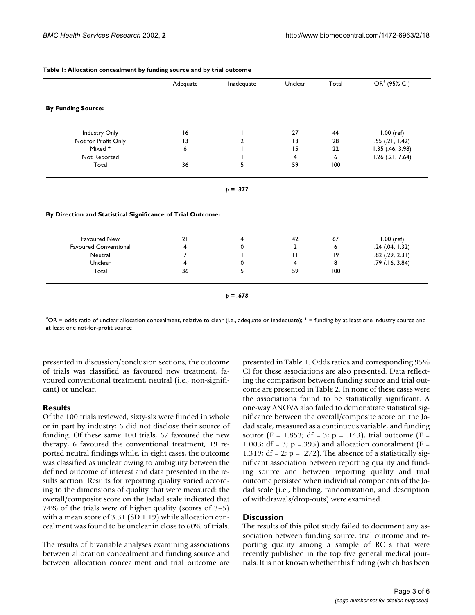|                                                             | Adequate        | Inadequate | Unclear         | Total | OR* (95% CI)                     |
|-------------------------------------------------------------|-----------------|------------|-----------------|-------|----------------------------------|
| <b>By Funding Source:</b>                                   |                 |            |                 |       |                                  |
| Industry Only                                               | 16              |            | 27              | 44    | $1.00$ (ref)                     |
| Not for Profit Only                                         | $\overline{13}$ |            | $\overline{13}$ | 28    | .55(.21, 1.42)                   |
| Mixed +                                                     | 6               |            | 15              | 22    | $1.35$ (.46, 3.98)               |
| Not Reported                                                |                 |            | 4               | 6     | $1.26$ (.21, 7.64)               |
| Total                                                       | 36              | 5          | 59              | 100   |                                  |
|                                                             |                 |            |                 |       |                                  |
|                                                             |                 | $p = .377$ |                 |       |                                  |
| By Direction and Statistical Significance of Trial Outcome: |                 |            |                 |       |                                  |
| <b>Favoured New</b>                                         | 21              | 4          | 42              | 67    |                                  |
| <b>Favoured Conventional</b>                                | 4               | 0          | $\overline{2}$  | 6     | $1.00$ (ref)                     |
| Neutral                                                     | 7               |            | $\mathbf{H}$    | 9     | .24(.04, 1.32)<br>.82(.29, 2.31) |
| Unclear                                                     | 4               | 0          | 4               | 8     | $.79$ ( $.16, 3.84$ )            |

**Table 1: Allocation concealment by funding source and by trial outcome**

\*OR = odds ratio of unclear allocation concealment, relative to clear (i.e., adequate or inadequate); + = funding by at least one industry source and at least one not-for-profit source

presented in discussion/conclusion sections, the outcome of trials was classified as favoured new treatment, favoured conventional treatment, neutral (i.e., non-significant) or unclear.

#### **Results**

Of the 100 trials reviewed, sixty-six were funded in whole or in part by industry; 6 did not disclose their source of funding. Of these same 100 trials, 67 favoured the new therapy, 6 favoured the conventional treatment, 19 reported neutral findings while, in eight cases, the outcome was classified as unclear owing to ambiguity between the defined outcome of interest and data presented in the results section. Results for reporting quality varied according to the dimensions of quality that were measured: the overall/composite score on the Jadad scale indicated that 74% of the trials were of higher quality (scores of 3–5) with a mean score of 3.31 (SD 1.19) while allocation concealment was found to be unclear in close to 60% of trials.

<span id="page-2-0"></span>The results of bivariable analyses examining associations between allocation concealment and funding source and between allocation concealment and trial outcome are presented in Table 1. Odds ratios and corresponding 95% CI for these associations are also presented. Data reflecting the comparison between funding source and trial outcome are presented in Table [2](#page-2-0). In none of these cases were the associations found to be statistically significant. A one-way ANOVA also failed to demonstrate statistical significance between the overall/composite score on the Jadad scale, measured as a continuous variable, and funding source (F = 1.853; df = 3; p = .143), trial outcome (F = 1.003; df = 3; p = .395) and allocation concealment ( $F =$ 1.319; df = 2;  $p = .272$ ). The absence of a statistically significant association between reporting quality and funding source and between reporting quality and trial outcome persisted when individual components of the Jadad scale (i.e., blinding, randomization, and description of withdrawals/drop-outs) were examined.

#### **Discussion**

The results of this pilot study failed to document any association between funding source, trial outcome and reporting quality among a sample of RCTs that were recently published in the top five general medical journals. It is not known whether this finding (which has been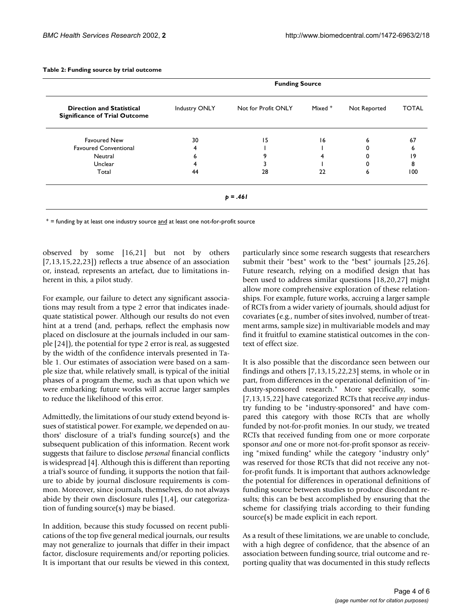**Table 2: Funding source by trial outcome**

| <b>Direction and Statistical</b><br><b>Significance of Trial Outcome</b> | <b>Funding Source</b> |                     |         |              |              |  |  |
|--------------------------------------------------------------------------|-----------------------|---------------------|---------|--------------|--------------|--|--|
|                                                                          | Industry ONLY         | Not for Profit ONLY | Mixed + | Not Reported | <b>TOTAL</b> |  |  |
| <b>Favoured New</b>                                                      | 30                    | 15                  | 16      | 6            | 67           |  |  |
| <b>Favoured Conventional</b>                                             | 4                     |                     |         |              | D            |  |  |
| Neutral                                                                  | D                     |                     |         |              | 19           |  |  |
| Unclear                                                                  |                       |                     |         |              | 8            |  |  |
| Total                                                                    | 44                    | 28                  | 22      | 6            | 100          |  |  |
|                                                                          |                       | $p = .461$          |         |              |              |  |  |

 $+$  = funding by at least one industry source and at least one not-for-profit source

observed by some [16,21] but not by others [7,13,15,22,23]) reflects a true absence of an association or, instead, represents an artefact, due to limitations inherent in this, a pilot study.

For example, our failure to detect any significant associations may result from a type 2 error that indicates inadequate statistical power. Although our results do not even hint at a trend (and, perhaps, reflect the emphasis now placed on disclosure at the journals included in our sample [24]), the potential for type 2 error is real, as suggested by the width of the confidence intervals presented in Table 1. Our estimates of association were based on a sample size that, while relatively small, is typical of the initial phases of a program theme, such as that upon which we were embarking; future works will accrue larger samples to reduce the likelihood of this error.

Admittedly, the limitations of our study extend beyond issues of statistical power. For example, we depended on authors' disclosure of a trial's funding source(s) and the subsequent publication of this information. Recent work suggests that failure to disclose *personal* financial conflicts is widespread [4]. Although this is different than reporting a trial's source of funding, it supports the notion that failure to abide by journal disclosure requirements is common. Moreover, since journals, themselves, do not always abide by their own disclosure rules [1,4], our categorization of funding source(s) may be biased.

In addition, because this study focussed on recent publications of the top five general medical journals, our results may not generalize to journals that differ in their impact factor, disclosure requirements and/or reporting policies. It is important that our results be viewed in this context,

particularly since some research suggests that researchers submit their "best" work to the "best" journals [25,26]. Future research, relying on a modified design that has been used to address similar questions [18,20,27] might allow more comprehensive exploration of these relationships. For example, future works, accruing a larger sample of RCTs from a wider variety of journals, should adjust for covariates (e.g., number of sites involved, number of treatment arms, sample size) in multivariable models and may find it fruitful to examine statistical outcomes in the context of effect size.

It is also possible that the discordance seen between our findings and others [7,13,15,22,23] stems, in whole or in part, from differences in the operational definition of "industry-sponsored research." More specifically, some [7,13,15,22] have categorized RCTs that receive *any* industry funding to be "industry-sponsored" and have compared this category with those RCTs that are wholly funded by not-for-profit monies. In our study, we treated RCTs that received funding from one or more corporate sponsor *and* one or more not-for-profit sponsor as receiving "mixed funding" while the category "industry only" was reserved for those RCTs that did not receive any notfor-profit funds. It is important that authors acknowledge the potential for differences in operational definitions of funding source between studies to produce discordant results; this can be best accomplished by ensuring that the scheme for classifying trials according to their funding source(s) be made explicit in each report.

As a result of these limitations, we are unable to conclude, with a high degree of confidence, that the absence of an association between funding source, trial outcome and reporting quality that was documented in this study reflects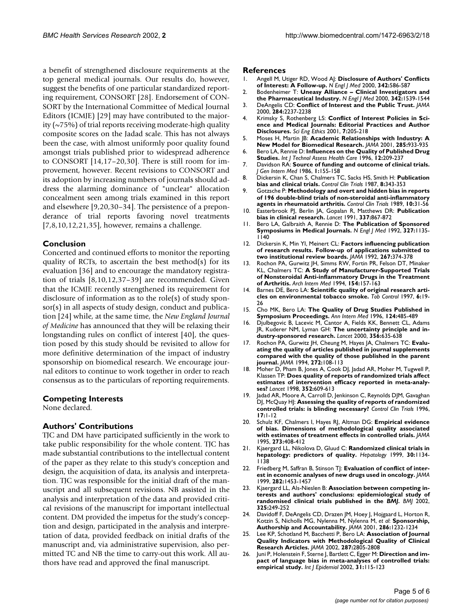a benefit of strengthened disclosure requirements at the top general medical journals. Our results do, however, suggest the benefits of one particular standardized reporting requirement, CONSORT [28]. Endorsement of CON-SORT by the International Committee of Medical Journal Editors (ICMJE) [[29](#page-5-0)] may have contributed to the majority  $(\sim 75\%)$  of trial reports receiving moderate-high quality composite scores on the Jadad scale. This has not always been the case, with almost uniformly poor quality found amongst trials published prior to widespread adherence to CONSORT [14,17–20,30]. There is still room for improvement, however. Recent revisions to CONSORT and its adoption by increasing numbers of journals should address the alarming dominance of "unclear" allocation concealment seen among trials examined in this report and elsewhere [9,20,30–34]. The persistence of a preponderance of trial reports favoring novel treatments [7,8,10,12,21,35], however, remains a challenge.

## **Conclusion**

Concerted and continued efforts to monitor the reporting quality of RCTs, to ascertain the best method(s) for its evaluation [36] and to encourage the mandatory registration of trials [8,10,12,37–39] are recommended. Given that the ICMJE recently strengthened its requirement for disclosure of information as to the role(s) of study sponsor(s) in all aspects of study design, conduct and publication [24] while, at the same time, the *New England Journal of Medicine* has announced that they will be relaxing their longstanding rules on conflict of interest [40], the question posed by this study should be revisited to allow for more definitive determination of the impact of industry sponsorship on biomedical research. We encourage journal editors to continue to work together in order to reach consensus as to the particulars of reporting requirements.

#### **Competing Interests**

None declared.

#### **Authors' Contributions**

TJC and DM have participated sufficiently in the work to take public responsibility for the whole content. TJC has made substantial contributions to the intellectual content of the paper as they relate to this study's conception and design, the acquisition of data, its analysis and interpretation. TJC was responsible for the initial draft of the manuscript and all subsequent revisions. NB assisted in the analysis and interpretation of the data and provided critical revisions of the manuscript for important intellectual content. DM provided the impetus for the study's conception and design, participated in the analysis and interpretation of data, provided feedback on initial drafts of the manuscript and, via administrative supervision, also permitted TC and NB the time to carry-out this work. All authors have read and approved the final manuscript.

#### **References**

- 1. [Angell M, Utiger RD, Wood AJ:](http://www.ncbi.nlm.nih.gov/entrez/query.fcgi?cmd=Retrieve&db=PubMed&dopt=Abstract&list_uids=10691499) **[Disclosure of Authors' Conflicts](http://www.ncbi.nlm.nih.gov/entrez/query.fcgi?cmd=Retrieve&db=PubMed&dopt=Abstract&list_uids=10691499) [of Interest: A Follow-up.](http://www.ncbi.nlm.nih.gov/entrez/query.fcgi?cmd=Retrieve&db=PubMed&dopt=Abstract&list_uids=10691499)** *N Engl J Med* 2000, **342:**586-587
- 2. [Bodenheimer T:](http://www.ncbi.nlm.nih.gov/entrez/query.fcgi?cmd=Retrieve&db=PubMed&dopt=Abstract&list_uids=10816196) **[Uneasy Alliance Clinical Investigators and](http://www.ncbi.nlm.nih.gov/entrez/query.fcgi?cmd=Retrieve&db=PubMed&dopt=Abstract&list_uids=10816196) [the Pharmaceutical Industry.](http://www.ncbi.nlm.nih.gov/entrez/query.fcgi?cmd=Retrieve&db=PubMed&dopt=Abstract&list_uids=10816196)** *N Engl J Med* 2000, **342:**1539-1544
- 3. [DeAngelis CD:](http://www.ncbi.nlm.nih.gov/entrez/query.fcgi?cmd=Retrieve&db=PubMed&dopt=Abstract&list_uids=11056597) **[Conflict of Interest and the Public Trust.](http://www.ncbi.nlm.nih.gov/entrez/query.fcgi?cmd=Retrieve&db=PubMed&dopt=Abstract&list_uids=11056597)** *JAMA* 2000, **284:**2237-2238
- 4. [Krimsky S, Rothenberg LS:](http://www.ncbi.nlm.nih.gov/entrez/query.fcgi?cmd=Retrieve&db=PubMed&dopt=Abstract&list_uids=11349360) **[Conflict of Interest Policies in Sci](http://www.ncbi.nlm.nih.gov/entrez/query.fcgi?cmd=Retrieve&db=PubMed&dopt=Abstract&list_uids=11349360)[ence and Medical Journals: Editorial Practices and Author](http://www.ncbi.nlm.nih.gov/entrez/query.fcgi?cmd=Retrieve&db=PubMed&dopt=Abstract&list_uids=11349360) [Disclosures.](http://www.ncbi.nlm.nih.gov/entrez/query.fcgi?cmd=Retrieve&db=PubMed&dopt=Abstract&list_uids=11349360)** *Sci Eng Ethics* 2001, **7:**205-218
- 5. [Moses H, Martin JB:](http://www.ncbi.nlm.nih.gov/entrez/query.fcgi?cmd=Retrieve&db=PubMed&dopt=Abstract&list_uids=11180737) **[Academic Relationships with Industry: A](http://www.ncbi.nlm.nih.gov/entrez/query.fcgi?cmd=Retrieve&db=PubMed&dopt=Abstract&list_uids=11180737) [New Model for Biomedical Research.](http://www.ncbi.nlm.nih.gov/entrez/query.fcgi?cmd=Retrieve&db=PubMed&dopt=Abstract&list_uids=11180737)** *JAMA* 2001, **285:**933-935
- 6. [Bero LA, Rennie D:](http://www.ncbi.nlm.nih.gov/entrez/query.fcgi?cmd=Retrieve&db=PubMed&dopt=Abstract&list_uids=8707496) **[Influences on the Quality of Published Drug](http://www.ncbi.nlm.nih.gov/entrez/query.fcgi?cmd=Retrieve&db=PubMed&dopt=Abstract&list_uids=8707496) [Studies.](http://www.ncbi.nlm.nih.gov/entrez/query.fcgi?cmd=Retrieve&db=PubMed&dopt=Abstract&list_uids=8707496)** *Int J Technol Assess Health Care* 1996, **12:**209-237
- 7. [Davidson RA:](http://www.ncbi.nlm.nih.gov/entrez/query.fcgi?cmd=Retrieve&db=PubMed&dopt=Abstract&list_uids=3772583) **[Source of funding and outcome of clinical trials.](http://www.ncbi.nlm.nih.gov/entrez/query.fcgi?cmd=Retrieve&db=PubMed&dopt=Abstract&list_uids=3772583)** *J Gen Intern Med* 1986, **1:**155-158
- 8. [Dickersin K, Chan S, Chalmers TC, Sacks HS, Smith H:](http://www.ncbi.nlm.nih.gov/entrez/query.fcgi?cmd=Retrieve&db=PubMed&dopt=Abstract&list_uids=3442991) **[Publication](http://www.ncbi.nlm.nih.gov/entrez/query.fcgi?cmd=Retrieve&db=PubMed&dopt=Abstract&list_uids=3442991) [bias and clinical trials.](http://www.ncbi.nlm.nih.gov/entrez/query.fcgi?cmd=Retrieve&db=PubMed&dopt=Abstract&list_uids=3442991)** *Control Clin Trials* 1987, **8:**343-353
- 9. [Gotzsche P:](http://www.ncbi.nlm.nih.gov/entrez/query.fcgi?cmd=Retrieve&db=PubMed&dopt=Abstract&list_uids=2702836) **[Methodology and overt and hidden bias in reports](http://www.ncbi.nlm.nih.gov/entrez/query.fcgi?cmd=Retrieve&db=PubMed&dopt=Abstract&list_uids=2702836) [of 196 double-blind trials of non-steroidal anti-inflammatory](http://www.ncbi.nlm.nih.gov/entrez/query.fcgi?cmd=Retrieve&db=PubMed&dopt=Abstract&list_uids=2702836) [agents in rheumatoid arthritis.](http://www.ncbi.nlm.nih.gov/entrez/query.fcgi?cmd=Retrieve&db=PubMed&dopt=Abstract&list_uids=2702836)** *Control Clin Trials* 1989, **10:**31-56
- 10. [Easterbrook PJ, Berlin JA, Gopalan R, Matthews DR:](http://www.ncbi.nlm.nih.gov/entrez/query.fcgi?cmd=Retrieve&db=PubMed&dopt=Abstract&list_uids=1672966) **[Publication](http://www.ncbi.nlm.nih.gov/entrez/query.fcgi?cmd=Retrieve&db=PubMed&dopt=Abstract&list_uids=1672966) [bias in clinical research.](http://www.ncbi.nlm.nih.gov/entrez/query.fcgi?cmd=Retrieve&db=PubMed&dopt=Abstract&list_uids=1672966)** *Lancet* 1991, **337:**867-872
- 11. [Bero LA, Galbraith A, Rennie D:](http://www.ncbi.nlm.nih.gov/entrez/query.fcgi?cmd=Retrieve&db=PubMed&dopt=Abstract&list_uids=1528209) **[The Publication of Sponsored](http://www.ncbi.nlm.nih.gov/entrez/query.fcgi?cmd=Retrieve&db=PubMed&dopt=Abstract&list_uids=1528209) [Symposiums in Medical Journals.](http://www.ncbi.nlm.nih.gov/entrez/query.fcgi?cmd=Retrieve&db=PubMed&dopt=Abstract&list_uids=1528209)** *N Engl J Med* 1992, **327:**1135- 1140
- 12. [Dickersin K, Min YI, Meinert CL:](http://www.ncbi.nlm.nih.gov/entrez/query.fcgi?cmd=Retrieve&db=PubMed&dopt=Abstract&list_uids=1727960) **[Factors influencing publication](http://www.ncbi.nlm.nih.gov/entrez/query.fcgi?cmd=Retrieve&db=PubMed&dopt=Abstract&list_uids=1727960) [of research results. Follow-up of applications submitted to](http://www.ncbi.nlm.nih.gov/entrez/query.fcgi?cmd=Retrieve&db=PubMed&dopt=Abstract&list_uids=1727960) [two institutional review boards.](http://www.ncbi.nlm.nih.gov/entrez/query.fcgi?cmd=Retrieve&db=PubMed&dopt=Abstract&list_uids=1727960)** *JAMA* 1992, **267:**374-378
- 13. [Rochon PA, Gurwitz JH, Simms RW, Fortin PR, Felson DT, Minaker](http://www.ncbi.nlm.nih.gov/entrez/query.fcgi?cmd=Retrieve&db=PubMed&dopt=Abstract&list_uids=8285810) [KL, Chalmers TC:](http://www.ncbi.nlm.nih.gov/entrez/query.fcgi?cmd=Retrieve&db=PubMed&dopt=Abstract&list_uids=8285810) **[A Study of Manufacturer-Supported Trials](http://www.ncbi.nlm.nih.gov/entrez/query.fcgi?cmd=Retrieve&db=PubMed&dopt=Abstract&list_uids=8285810) [of Nonsteroidal Anti-inflammatory Drugs in the Treatment](http://www.ncbi.nlm.nih.gov/entrez/query.fcgi?cmd=Retrieve&db=PubMed&dopt=Abstract&list_uids=8285810) [of Arthritis.](http://www.ncbi.nlm.nih.gov/entrez/query.fcgi?cmd=Retrieve&db=PubMed&dopt=Abstract&list_uids=8285810)** *Arch Intern Med* 1994, **154:**157-163
- 14. [Barnes DE, Bero LA:](http://www.ncbi.nlm.nih.gov/entrez/query.fcgi?cmd=Retrieve&db=PubMed&dopt=Abstract&list_uids=9176982) **[Scientific quality of original research arti](http://www.ncbi.nlm.nih.gov/entrez/query.fcgi?cmd=Retrieve&db=PubMed&dopt=Abstract&list_uids=9176982)[cles on environmental tobacco smoke.](http://www.ncbi.nlm.nih.gov/entrez/query.fcgi?cmd=Retrieve&db=PubMed&dopt=Abstract&list_uids=9176982)** *Tob Control* 1997, **6:**19- 26
- 15. [Cho MK, Bero LA:](http://www.ncbi.nlm.nih.gov/entrez/query.fcgi?cmd=Retrieve&db=PubMed&dopt=Abstract&list_uids=8602706) **[The Quality of Drug Studies Published in](http://www.ncbi.nlm.nih.gov/entrez/query.fcgi?cmd=Retrieve&db=PubMed&dopt=Abstract&list_uids=8602706) [Symposium Proceedings.](http://www.ncbi.nlm.nih.gov/entrez/query.fcgi?cmd=Retrieve&db=PubMed&dopt=Abstract&list_uids=8602706)** *Ann Intern Med* 1996, **124:**485-489
- 16. [Djulbegovic B, Lacevic M, Cantor A, Fields KK, Bennett CL, Adams](http://www.ncbi.nlm.nih.gov/entrez/query.fcgi?cmd=Retrieve&db=PubMed&dopt=Abstract&list_uids=10968436) [JR, Kuderer NM, Lyman GH:](http://www.ncbi.nlm.nih.gov/entrez/query.fcgi?cmd=Retrieve&db=PubMed&dopt=Abstract&list_uids=10968436) **[The uncertainty principle and in](http://www.ncbi.nlm.nih.gov/entrez/query.fcgi?cmd=Retrieve&db=PubMed&dopt=Abstract&list_uids=10968436)[dustry-sponsored research.](http://www.ncbi.nlm.nih.gov/entrez/query.fcgi?cmd=Retrieve&db=PubMed&dopt=Abstract&list_uids=10968436)** *Lancet* 2000, **356:**635-638
- 17. [Rochon PA, Gurwitz JH, Cheung M, Hayes JA, Chalmers TC:](http://www.ncbi.nlm.nih.gov/entrez/query.fcgi?cmd=Retrieve&db=PubMed&dopt=Abstract&list_uids=8015117) **[Evalu](http://www.ncbi.nlm.nih.gov/entrez/query.fcgi?cmd=Retrieve&db=PubMed&dopt=Abstract&list_uids=8015117)[ating the quality of articles published in journal supplements](http://www.ncbi.nlm.nih.gov/entrez/query.fcgi?cmd=Retrieve&db=PubMed&dopt=Abstract&list_uids=8015117) compared with the quality of those published in the parent [journal.](http://www.ncbi.nlm.nih.gov/entrez/query.fcgi?cmd=Retrieve&db=PubMed&dopt=Abstract&list_uids=8015117)** *JAMA* 1994, **272:**108-113
- 18. [Moher D, Pham B, Jones A, Cook DJ, Jadad AR, Moher M, Tugwell P,](http://www.ncbi.nlm.nih.gov/entrez/query.fcgi?cmd=Retrieve&db=PubMed&dopt=Abstract&list_uids=9746022) [Klassen TP:](http://www.ncbi.nlm.nih.gov/entrez/query.fcgi?cmd=Retrieve&db=PubMed&dopt=Abstract&list_uids=9746022) **[Does quality of reports of randomized trials affect](http://www.ncbi.nlm.nih.gov/entrez/query.fcgi?cmd=Retrieve&db=PubMed&dopt=Abstract&list_uids=9746022) [estimates of intervention efficacy reported in meta-analy](http://www.ncbi.nlm.nih.gov/entrez/query.fcgi?cmd=Retrieve&db=PubMed&dopt=Abstract&list_uids=9746022)[ses?](http://www.ncbi.nlm.nih.gov/entrez/query.fcgi?cmd=Retrieve&db=PubMed&dopt=Abstract&list_uids=9746022)** *Lancet* 1998, **352:**609-613
- 19. [Jadad AR, Moore A, Carroll D, Jenkinson C, Reynolds DJM, Gavaghan](http://www.ncbi.nlm.nih.gov/entrez/query.fcgi?cmd=Retrieve&db=PubMed&dopt=Abstract&list_uids=8721797) [DJ, McQuay HJ:](http://www.ncbi.nlm.nih.gov/entrez/query.fcgi?cmd=Retrieve&db=PubMed&dopt=Abstract&list_uids=8721797) **[Assessing the quality of reports of randomized](http://www.ncbi.nlm.nih.gov/entrez/query.fcgi?cmd=Retrieve&db=PubMed&dopt=Abstract&list_uids=8721797) [controlled trials: is blinding necessary?](http://www.ncbi.nlm.nih.gov/entrez/query.fcgi?cmd=Retrieve&db=PubMed&dopt=Abstract&list_uids=8721797)** *Control Clin Trials* 1996, **17:**1-12
- 20. [Schulz KF, Chalmers I, Hayes RJ, Altman DG:](http://www.ncbi.nlm.nih.gov/entrez/query.fcgi?cmd=Retrieve&db=PubMed&dopt=Abstract&list_uids=7823387) **[Empirical evidence](http://www.ncbi.nlm.nih.gov/entrez/query.fcgi?cmd=Retrieve&db=PubMed&dopt=Abstract&list_uids=7823387) [of bias. Dimensions of methodological quality associated](http://www.ncbi.nlm.nih.gov/entrez/query.fcgi?cmd=Retrieve&db=PubMed&dopt=Abstract&list_uids=7823387) [with estimates of treatment effects in controlled trials.](http://www.ncbi.nlm.nih.gov/entrez/query.fcgi?cmd=Retrieve&db=PubMed&dopt=Abstract&list_uids=7823387)** *JAMA* 1995, **273:**408-412
- 21. [Kjaergard LL, Nikolova D, Gluud C:](http://www.ncbi.nlm.nih.gov/entrez/query.fcgi?cmd=Retrieve&db=PubMed&dopt=Abstract&list_uids=10534332) **[Randomized clinical trials in](http://www.ncbi.nlm.nih.gov/entrez/query.fcgi?cmd=Retrieve&db=PubMed&dopt=Abstract&list_uids=10534332) [hepatology: predictors of quality.](http://www.ncbi.nlm.nih.gov/entrez/query.fcgi?cmd=Retrieve&db=PubMed&dopt=Abstract&list_uids=10534332)** *Hepatology* 1999, **30:**1134- 1138
- 22. [Friedberg M, Saffran B, Stinson TJ:](http://www.ncbi.nlm.nih.gov/entrez/query.fcgi?cmd=Retrieve&db=PubMed&dopt=Abstract&list_uids=10535436) **[Evaluation of conflict of inter](http://www.ncbi.nlm.nih.gov/entrez/query.fcgi?cmd=Retrieve&db=PubMed&dopt=Abstract&list_uids=10535436)[est in economic analyses of new drugs used in oncology.](http://www.ncbi.nlm.nih.gov/entrez/query.fcgi?cmd=Retrieve&db=PubMed&dopt=Abstract&list_uids=10535436)** *JAMA* 1999, **282:**1453-1457
- 23. [Kjaergard LL, Als-Nieslen B:](http://www.ncbi.nlm.nih.gov/entrez/query.fcgi?cmd=Retrieve&db=PubMed&dopt=Abstract&list_uids=12153921) **Association between competing interests and authors' conclusions: epidemiological study of randomised clinical trials published in the** *BMJ. BMJ* 2002, **325:**249-252
- 24. [Davidoff F, DeAngelis CD, Drazen JM, Hoey J, Hojgaard L, Horton R,](http://www.ncbi.nlm.nih.gov/entrez/query.fcgi?cmd=Retrieve&db=PubMed&dopt=Abstract&list_uids=11559271) [Kotzin S, Nicholls MG, Nylenna M, Nylenna M,](http://www.ncbi.nlm.nih.gov/entrez/query.fcgi?cmd=Retrieve&db=PubMed&dopt=Abstract&list_uids=11559271) *et al*: **[Sponsorship,](http://www.ncbi.nlm.nih.gov/entrez/query.fcgi?cmd=Retrieve&db=PubMed&dopt=Abstract&list_uids=11559271) [Authorship and Accountability.](http://www.ncbi.nlm.nih.gov/entrez/query.fcgi?cmd=Retrieve&db=PubMed&dopt=Abstract&list_uids=11559271)** *JAMA* 2001, **286:**1232-1234
- 25. [Lee KP, Schotland M, Bacchetti P, Bero LA:](http://www.ncbi.nlm.nih.gov/entrez/query.fcgi?cmd=Retrieve&db=PubMed&dopt=Abstract&list_uids=12038918) **[Association of Journal](http://www.ncbi.nlm.nih.gov/entrez/query.fcgi?cmd=Retrieve&db=PubMed&dopt=Abstract&list_uids=12038918) [Quality Indicators with Methodological Quality of Clinical](http://www.ncbi.nlm.nih.gov/entrez/query.fcgi?cmd=Retrieve&db=PubMed&dopt=Abstract&list_uids=12038918) [Research Articles.](http://www.ncbi.nlm.nih.gov/entrez/query.fcgi?cmd=Retrieve&db=PubMed&dopt=Abstract&list_uids=12038918)** *JAMA* 2002, **287:**2805-2808
- 26. [Juni P, Holenstein F, Sterne J, Bartlett C, Egger M:](http://www.ncbi.nlm.nih.gov/entrez/query.fcgi?cmd=Retrieve&db=PubMed&dopt=Abstract&list_uids=11914306) **[Direction and im](http://www.ncbi.nlm.nih.gov/entrez/query.fcgi?cmd=Retrieve&db=PubMed&dopt=Abstract&list_uids=11914306)[pact of language bias in meta-analyses of controlled trials:](http://www.ncbi.nlm.nih.gov/entrez/query.fcgi?cmd=Retrieve&db=PubMed&dopt=Abstract&list_uids=11914306) [empirical study.](http://www.ncbi.nlm.nih.gov/entrez/query.fcgi?cmd=Retrieve&db=PubMed&dopt=Abstract&list_uids=11914306)** *Int J Epidemiol* 2002, **31:**115-123